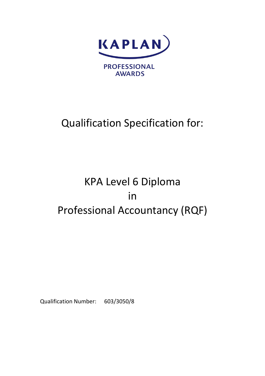

# Qualification Specification for:

# KPA Level 6 Diploma in Professional Accountancy (RQF)

Qualification Number: 603/3050/8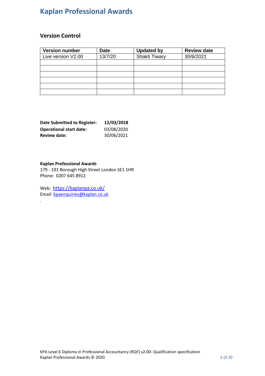#### **Version Control**

| <b>Version number</b> | <b>Date</b> | <b>Updated by</b> | <b>Review date</b> |
|-----------------------|-------------|-------------------|--------------------|
| Live version V2.00    | 13/7/20     | Shakti Tiwary     | 30/6/2021          |
|                       |             |                   |                    |
|                       |             |                   |                    |
|                       |             |                   |                    |
|                       |             |                   |                    |
|                       |             |                   |                    |
|                       |             |                   |                    |

| <b>Date Submitted to Register:</b> | 12/03/2018 |
|------------------------------------|------------|
| <b>Operational start date:</b>     | 03/08/2020 |
| <b>Review date:</b>                | 30/06/2021 |

#### **Kaplan Professional Awards**

.

179 - 191 Borough High Street London SE1 1HR Phone: 0207 645 8912

Web: <https://kaplanpa.co.uk/> Email: [kpaenquiries@kaplan.co.uk](mailto:kpaenquiries@kaplan.co.uk)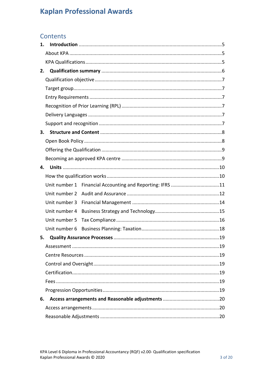### Contents

| 1. |               |                                                           |  |  |  |  |
|----|---------------|-----------------------------------------------------------|--|--|--|--|
|    |               |                                                           |  |  |  |  |
|    |               |                                                           |  |  |  |  |
| 2. |               |                                                           |  |  |  |  |
|    |               |                                                           |  |  |  |  |
|    |               |                                                           |  |  |  |  |
|    |               |                                                           |  |  |  |  |
|    |               |                                                           |  |  |  |  |
|    |               |                                                           |  |  |  |  |
|    |               |                                                           |  |  |  |  |
| 3. |               |                                                           |  |  |  |  |
|    |               |                                                           |  |  |  |  |
|    |               |                                                           |  |  |  |  |
|    |               |                                                           |  |  |  |  |
| 4. |               |                                                           |  |  |  |  |
|    |               |                                                           |  |  |  |  |
|    |               | Unit number 1 Financial Accounting and Reporting: IFRS 11 |  |  |  |  |
|    |               |                                                           |  |  |  |  |
|    | Unit number 3 |                                                           |  |  |  |  |
|    | Unit number 4 |                                                           |  |  |  |  |
|    | Unit number 5 |                                                           |  |  |  |  |
|    | Unit number 6 |                                                           |  |  |  |  |
| 5. |               |                                                           |  |  |  |  |
|    |               |                                                           |  |  |  |  |
|    |               |                                                           |  |  |  |  |
|    |               |                                                           |  |  |  |  |
|    |               |                                                           |  |  |  |  |
|    |               |                                                           |  |  |  |  |
|    |               |                                                           |  |  |  |  |
| 6. |               |                                                           |  |  |  |  |
|    |               |                                                           |  |  |  |  |
|    |               |                                                           |  |  |  |  |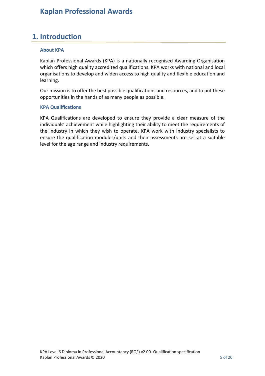## <span id="page-4-0"></span>**1. Introduction**

#### <span id="page-4-1"></span>**About KPA**

Kaplan Professional Awards (KPA) is a nationally recognised Awarding Organisation which offers high quality accredited qualifications. KPA works with national and local organisations to develop and widen access to high quality and flexible education and learning.

Our mission is to offer the best possible qualifications and resources, and to put these opportunities in the hands of as many people as possible.

#### <span id="page-4-2"></span>**KPA Qualifications**

KPA Qualifications are developed to ensure they provide a clear measure of the individuals' achievement while highlighting their ability to meet the requirements of the industry in which they wish to operate. KPA work with industry specialists to ensure the qualification modules/units and their assessments are set at a suitable level for the age range and industry requirements.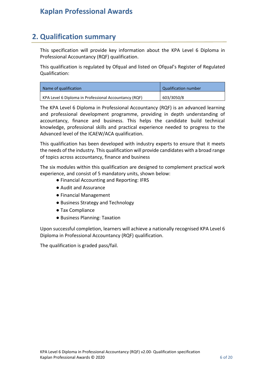### <span id="page-5-0"></span>**2. Qualification summary**

This specification will provide key information about the KPA Level 6 Diploma in Professional Accountancy (RQF) qualification.

This qualification is regulated by Ofqual and listed on Ofqual's Register of Regulated Qualification:

| Name of qualification                                 | Qualification number |
|-------------------------------------------------------|----------------------|
| KPA Level 6 Diploma in Professional Accountancy (RQF) | 603/3050/8           |

The KPA Level 6 Diploma in Professional Accountancy (RQF) is an advanced learning and professional development programme, providing in depth understanding of accountancy, finance and business. This helps the candidate build technical knowledge, professional skills and practical experience needed to progress to the Advanced level of the ICAEW/ACA qualification.

This qualification has been developed with industry experts to ensure that it meets the needs of the industry. This qualification will provide candidates with a broad range of topics across accountancy, finance and business

The six modules within this qualification are designed to complement practical work experience, and consist of 5 mandatory units, shown below:

- Financial Accounting and Reporting: IFRS
- Audit and Assurance
- Financial Management
- Business Strategy and Technology
- Tax Compliance
- Business Planning: Taxation

Upon successful completion, learners will achieve a nationally recognised KPA Level 6 Diploma in Professional Accountancy (RQF) qualification.

The qualification is graded pass/fail.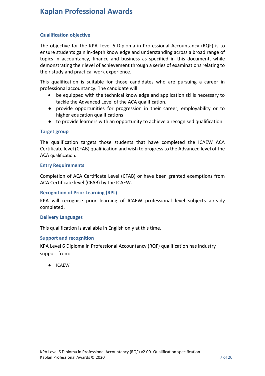#### <span id="page-6-0"></span>**Qualification objective**

The objective for the KPA Level 6 Diploma in Professional Accountancy (RQF) is to ensure students gain in-depth knowledge and understanding across a broad range of topics in accountancy, finance and business as specified in this document, while demonstrating their level of achievement through a series of examinations relating to their study and practical work experience.

This qualification is suitable for those candidates who are pursuing a career in professional accountancy. The candidate will:

- be equipped with the technical knowledge and application skills necessary to tackle the Advanced Level of the ACA qualification.
- provide opportunities for progression in their career, employability or to higher education qualifications
- to provide learners with an opportunity to achieve a recognised qualification

#### <span id="page-6-1"></span>**Target group**

The qualification targets those students that have completed the ICAEW ACA Certificate level (CFAB) qualification and wish to progress to the Advanced level of the ACA qualification.

#### <span id="page-6-2"></span>**Entry Requirements**

Completion of ACA Certificate Level (CFAB) or have been granted exemptions from ACA Certificate level (CFAB) by the ICAEW.

#### <span id="page-6-3"></span>**Recognition of Prior Learning (RPL)**

KPA will recognise prior learning of ICAEW professional level subjects already completed.

#### <span id="page-6-4"></span>**Delivery Languages**

This qualification is available in English only at this time.

#### <span id="page-6-5"></span>**Support and recognition**

KPA Level 6 Diploma in Professional Accountancy (RQF) qualification has industry support from:

● ICAEW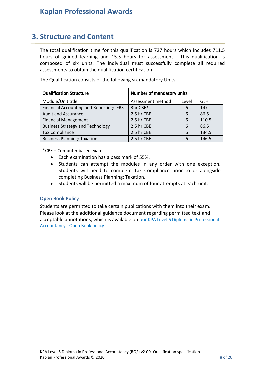### <span id="page-7-0"></span>**3. Structure and Content**

The total qualification time for this qualification is 727 hours which includes 711.5 hours of guided learning and 15.5 hours for assessment. This qualification is composed of six units. The individual must successfully complete all required assessments to obtain the qualification certification.

The Qualification consists of the following six mandatory Units:

| <b>Qualification Structure</b>           | <b>Number of mandatory units</b> |       |            |  |  |
|------------------------------------------|----------------------------------|-------|------------|--|--|
| Module/Unit title                        | Assessment method                | Level | <b>GLH</b> |  |  |
| Financial Accounting and Reporting: IFRS | 3hr CBE*                         | 6     | 147        |  |  |
| <b>Audit and Assurance</b>               | 2.5 hr CBE                       | 6     | 86.5       |  |  |
| <b>Financial Management</b>              | 2.5 hr CBE                       | 6     | 110.5      |  |  |
| <b>Business Strategy and Technology</b>  | 2.5 hr CBE                       | 6     | 86.5       |  |  |
| <b>Tax Compliance</b>                    | 2.5 hr CBE                       | 6     | 134.5      |  |  |
| <b>Business Planning: Taxation</b>       | 2.5 hr CBE                       | 6     | 146.5      |  |  |

\*CBE – Computer based exam

- Each examination has a pass mark of 55%.
- Students can attempt the modules in any order with one exception. Students will need to complete Tax Compliance prior to or alongside completing Business Planning: Taxation.
- Students will be permitted a maximum of four attempts at each unit.

#### <span id="page-7-1"></span>**Open Book Policy**

Students are permitted to take certain publications with them into their exam. Please look at the additional guidance document regarding permitted text and acceptable annotations, which is available on our [KPA Level 6 Diploma in Professional](https://kaplanpa.co.uk/qualifications/accounting-finance/level-6/kpa-level-6-diploma-in-professional-accountancy)  Accountancy - [Open Book policy](https://kaplanpa.co.uk/qualifications/accounting-finance/level-6/kpa-level-6-diploma-in-professional-accountancy)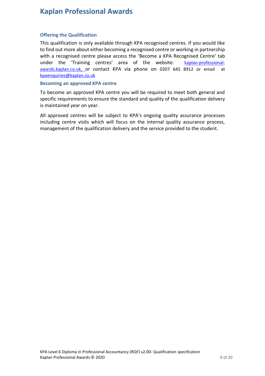#### <span id="page-8-0"></span>**Offering the Qualification**

This qualification is only available through KPA recognised centres. If you would like to find out more about either becoming a recognised centre or working in partnership with a recognised centre please access the 'Become a KPA Recognised Centre' tab under the 'Training centres' area of the website: [kaplan-professional](http://www.kaplan-professional-awards.kaplan.co.uk/)[awards.kaplan.co.uk,](http://www.kaplan-professional-awards.kaplan.co.uk/) or contact KPA via phone on 0207 645 8912 or email at [kpaenquiries@kaplan.co.uk](mailto:kpaenquiries@kaplan.co.uk)

#### <span id="page-8-1"></span>**Becoming an approved KPA centre**

To become an approved KPA centre you will be required to meet both general and specific requirements to ensure the standard and quality of the qualification delivery is maintained year on year.

All approved centres will be subject to KPA's ongoing quality assurance processes including centre visits which will focus on the internal quality assurance process, management of the qualification delivery and the service provided to the student.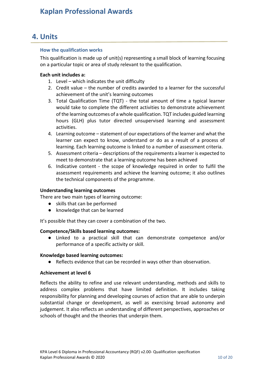### <span id="page-9-0"></span>**4. Units**

#### <span id="page-9-1"></span>**How the qualification works**

This qualification is made up of unit(s) representing a small block of learning focusing on a particular topic or area of study relevant to the qualification.

#### **Each unit includes a:**

- 1. Level which indicates the unit difficulty
- 2. Credit value the number of credits awarded to a learner for the successful achievement of the unit's learning outcomes
- 3. Total Qualification Time (TQT) the total amount of time a typical learner would take to complete the different activities to demonstrate achievement of the learning outcomes of a whole qualification. TQT includes guided learning hours (GLH) plus tutor directed unsupervised learning and assessment activities.
- 4. Learning outcome statement of our expectations of the learner and what the learner can expect to know, understand or do as a result of a process of learning. Each learning outcome is linked to a number of assessment criteria.
- 5. Assessment criteria descriptions of the requirements a learner is expected to meet to demonstrate that a learning outcome has been achieved
- 6. Indicative content the scope of knowledge required in order to fulfil the assessment requirements and achieve the learning outcome; it also outlines the technical components of the programme.

#### **Understanding learning outcomes**

There are two main types of learning outcome:

- skills that can be performed
- knowledge that can be learned

It's possible that they can cover a combination of the two.

#### **Competence/Skills based learning outcomes:**

● Linked to a practical skill that can demonstrate competence and/or performance of a specific activity or skill.

#### **Knowledge based learning outcomes:**

● Reflects evidence that can be recorded in ways other than observation.

#### **Achievement at level 6**

Reflects the ability to refine and use relevant understanding, methods and skills to address complex problems that have limited definition. It includes taking responsibility for planning and developing courses of action that are able to underpin substantial change or development, as well as exercising broad autonomy and judgement. It also reflects an understanding of different perspectives, approaches or schools of thought and the theories that underpin them.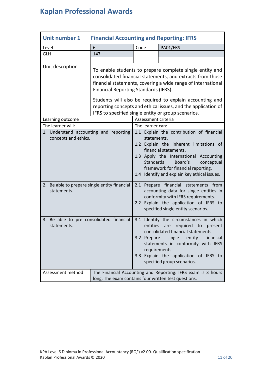<span id="page-10-0"></span>

| <b>Unit number 1</b>                                           | <b>Financial Accounting and Reporting: IFRS</b>                                                                                                                                                                                                                                                                                                                                                                     |                          |                                                                                                                                                                                                                                                                                   |
|----------------------------------------------------------------|---------------------------------------------------------------------------------------------------------------------------------------------------------------------------------------------------------------------------------------------------------------------------------------------------------------------------------------------------------------------------------------------------------------------|--------------------------|-----------------------------------------------------------------------------------------------------------------------------------------------------------------------------------------------------------------------------------------------------------------------------------|
| Level                                                          | 6                                                                                                                                                                                                                                                                                                                                                                                                                   | Code                     | PA01/FRS                                                                                                                                                                                                                                                                          |
| <b>GLH</b>                                                     | 147                                                                                                                                                                                                                                                                                                                                                                                                                 |                          |                                                                                                                                                                                                                                                                                   |
|                                                                |                                                                                                                                                                                                                                                                                                                                                                                                                     |                          |                                                                                                                                                                                                                                                                                   |
| Unit description                                               | To enable students to prepare complete single entity and<br>consolidated financial statements, and extracts from those<br>financial statements, covering a wide range of International<br>Financial Reporting Standards (IFRS).<br>Students will also be required to explain accounting and<br>reporting concepts and ethical issues, and the application of<br>IFRS to specified single entity or group scenarios. |                          |                                                                                                                                                                                                                                                                                   |
| Learning outcome                                               |                                                                                                                                                                                                                                                                                                                                                                                                                     | Assessment criteria      |                                                                                                                                                                                                                                                                                   |
| The learner will:                                              |                                                                                                                                                                                                                                                                                                                                                                                                                     | The learner can:         |                                                                                                                                                                                                                                                                                   |
| 1. Understand accounting and reporting<br>concepts and ethics. |                                                                                                                                                                                                                                                                                                                                                                                                                     | statements.<br>Standards | 1.1 Explain the contribution of financial<br>1.2 Explain the inherent limitations of<br>financial statements.<br>1.3 Apply the International Accounting<br>Board's<br>conceptual<br>framework for financial reporting.<br>1.4 Identify and explain key ethical issues.            |
| 2. Be able to prepare single entity financial<br>statements.   |                                                                                                                                                                                                                                                                                                                                                                                                                     |                          | 2.1 Prepare financial statements from<br>accounting data for single entities in<br>conformity with IFRS requirements.<br>2.2 Explain the application of IFRS to<br>specified single entity scenarios.                                                                             |
| 3. Be able to pre consolidated financial<br>statements.        |                                                                                                                                                                                                                                                                                                                                                                                                                     | entities<br>3.2 Prepare  | 3.1 Identify the circumstances in which<br>required<br>to<br>present<br>are<br>consolidated financial statements.<br>single<br>entity<br>financial<br>statements in conformity with IFRS<br>requirements.<br>3.3 Explain the application of IFRS to<br>specified group scenarios. |
| Assessment method                                              | long. The exam contains four written test questions.                                                                                                                                                                                                                                                                                                                                                                |                          | The Financial Accounting and Reporting: IFRS exam is 3 hours                                                                                                                                                                                                                      |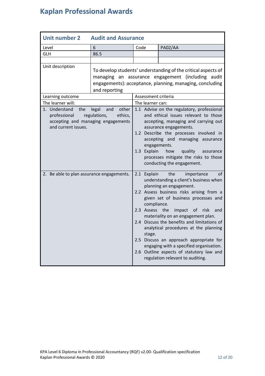<span id="page-11-0"></span>

| <b>Unit number 2</b>                                                                              | <b>Audit and Assurance</b>                       |                                         |                                                                                                                                                                                                                                                                                                                                                                                                                                                                                                                                |
|---------------------------------------------------------------------------------------------------|--------------------------------------------------|-----------------------------------------|--------------------------------------------------------------------------------------------------------------------------------------------------------------------------------------------------------------------------------------------------------------------------------------------------------------------------------------------------------------------------------------------------------------------------------------------------------------------------------------------------------------------------------|
| Level                                                                                             | 6                                                | Code                                    | PA02/AA                                                                                                                                                                                                                                                                                                                                                                                                                                                                                                                        |
| <b>GLH</b>                                                                                        | 86.5                                             |                                         |                                                                                                                                                                                                                                                                                                                                                                                                                                                                                                                                |
|                                                                                                   |                                                  |                                         |                                                                                                                                                                                                                                                                                                                                                                                                                                                                                                                                |
| Unit description                                                                                  | and reporting                                    |                                         | To develop students' understanding of the critical aspects of<br>managing an assurance engagement (including audit<br>engagements): acceptance, planning, managing, concluding                                                                                                                                                                                                                                                                                                                                                 |
| Learning outcome                                                                                  |                                                  | Assessment criteria                     |                                                                                                                                                                                                                                                                                                                                                                                                                                                                                                                                |
| The learner will:                                                                                 |                                                  | The learner can:                        |                                                                                                                                                                                                                                                                                                                                                                                                                                                                                                                                |
| 1. Understand<br>the<br>professional<br>accepting and managing engagements<br>and current issues. | legal<br>other<br>and<br>regulations,<br>ethics, | 1.3 Explain                             | 1.1 Advise on the regulatory, professional<br>and ethical issues relevant to those<br>accepting, managing and carrying out<br>assurance engagements.<br>1.2 Describe the processes involved in<br>accepting and managing assurance<br>engagements.<br>how<br>quality<br>assurance<br>processes mitigate the risks to those<br>conducting the engagement.                                                                                                                                                                       |
| 2. Be able to plan assurance engagements.                                                         |                                                  | 2.1 Explain<br>2.3 Assess the<br>stage. | the<br>importance<br>of<br>understanding a client's business when<br>planning an engagement.<br>2.2 Assess business risks arising from a<br>given set of business processes and<br>compliance.<br>impact of<br>risk<br>and<br>materiality on an engagement plan.<br>2.4 Discuss the benefits and limitations of<br>analytical procedures at the planning<br>2.5 Discuss an approach appropriate for<br>engaging with a specified organisation.<br>2.6 Outline aspects of statutory law and<br>regulation relevant to auditing. |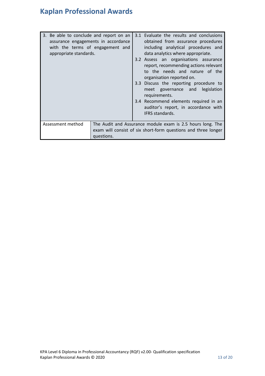| 3. Be able to conclude and report on an<br>assurance engagements in accordance<br>with the terms of engagement and<br>appropriate standards. |            | 3.1 Evaluate the results and conclusions<br>obtained from assurance procedures<br>including analytical procedures and<br>data analytics where appropriate.<br>3.2 Assess an organisations assurance<br>report, recommending actions relevant<br>to the needs and nature of the<br>organisation reported on.<br>3.3 Discuss the reporting procedure to<br>meet governance and legislation<br>requirements.<br>3.4 Recommend elements required in an<br>auditor's report, in accordance with<br>IFRS standards. |
|----------------------------------------------------------------------------------------------------------------------------------------------|------------|---------------------------------------------------------------------------------------------------------------------------------------------------------------------------------------------------------------------------------------------------------------------------------------------------------------------------------------------------------------------------------------------------------------------------------------------------------------------------------------------------------------|
| Assessment method                                                                                                                            | questions. | The Audit and Assurance module exam is 2.5 hours long. The<br>exam will consist of six short-form questions and three longer                                                                                                                                                                                                                                                                                                                                                                                  |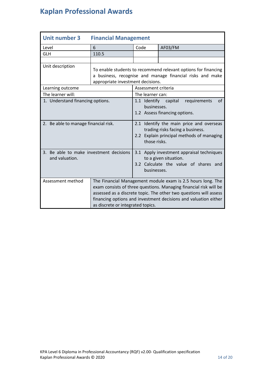<span id="page-13-0"></span>

| <b>Unit number 3</b>                                      | <b>Financial Management</b>       |                             |                                                                                                                                                                                                                                                                          |
|-----------------------------------------------------------|-----------------------------------|-----------------------------|--------------------------------------------------------------------------------------------------------------------------------------------------------------------------------------------------------------------------------------------------------------------------|
| Level                                                     | 6                                 | Code                        | AF03/FM                                                                                                                                                                                                                                                                  |
| <b>GLH</b>                                                | 110.5                             |                             |                                                                                                                                                                                                                                                                          |
|                                                           |                                   |                             |                                                                                                                                                                                                                                                                          |
| Unit description                                          | appropriate investment decisions. |                             | To enable students to recommend relevant options for financing<br>a business, recognise and manage financial risks and make                                                                                                                                              |
| Learning outcome                                          |                                   | Assessment criteria         |                                                                                                                                                                                                                                                                          |
| The learner will:                                         |                                   | The learner can:            |                                                                                                                                                                                                                                                                          |
| 1. Understand financing options.                          |                                   | 1.1 Identify<br>businesses. | of<br>capital<br>requirements<br>1.2 Assess financing options.                                                                                                                                                                                                           |
| 2. Be able to manage financial risk.                      |                                   | those risks.                | 2.1 Identify the main price and overseas<br>trading risks facing a business.<br>2.2 Explain principal methods of managing                                                                                                                                                |
| 3. Be able to make investment decisions<br>and valuation. |                                   | businesses.                 | 3.1 Apply investment appraisal techniques<br>to a given situation.<br>3.2 Calculate the value of shares<br>and                                                                                                                                                           |
| Assessment method                                         | as discrete or integrated topics. |                             | The Financial Management module exam is 2.5 hours long. The<br>exam consists of three questions. Managing financial risk will be<br>assessed as a discrete topic. The other two questions will assess<br>financing options and investment decisions and valuation either |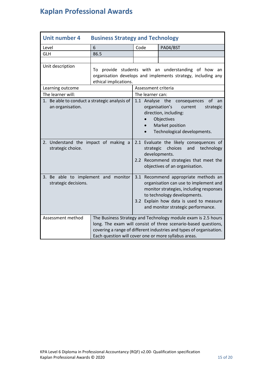<span id="page-14-0"></span>

| <b>Unit number 4</b>                                              | <b>Business Strategy and Technology</b>                                                                                                                                                                                                                        |                     |                                                                                                                                                                                                                                          |
|-------------------------------------------------------------------|----------------------------------------------------------------------------------------------------------------------------------------------------------------------------------------------------------------------------------------------------------------|---------------------|------------------------------------------------------------------------------------------------------------------------------------------------------------------------------------------------------------------------------------------|
| Level                                                             | 6                                                                                                                                                                                                                                                              | Code                | PA04/BST                                                                                                                                                                                                                                 |
| <b>GLH</b>                                                        | 86.5                                                                                                                                                                                                                                                           |                     |                                                                                                                                                                                                                                          |
|                                                                   |                                                                                                                                                                                                                                                                |                     |                                                                                                                                                                                                                                          |
| Unit description                                                  | ethical implications.                                                                                                                                                                                                                                          |                     | To provide students with an understanding of how an<br>organisation develops and implements strategy, including any                                                                                                                      |
| Learning outcome                                                  |                                                                                                                                                                                                                                                                | Assessment criteria |                                                                                                                                                                                                                                          |
| The learner will:                                                 |                                                                                                                                                                                                                                                                | The learner can:    |                                                                                                                                                                                                                                          |
| 1. Be able to conduct a strategic analysis of<br>an organisation. |                                                                                                                                                                                                                                                                | 1.1 Analyse the     | of<br>consequences<br>an<br>organisation's<br>current<br>strategic<br>direction, including:<br>Objectives<br>Market position<br>Technological developments.                                                                              |
| 2. Understand the impact of making a<br>strategic choice.         |                                                                                                                                                                                                                                                                | strategic           | 2.1 Evaluate the likely consequences of<br>choices<br>and<br>technology<br>developments.<br>2.2 Recommend strategies that meet the<br>objectives of an organisation.                                                                     |
| 3. Be able to implement and monitor<br>strategic decisions.       |                                                                                                                                                                                                                                                                |                     | 3.1 Recommend appropriate methods an<br>organisation can use to implement and<br>monitor strategies, including responses<br>to technology developments.<br>3.2 Explain how data is used to measure<br>and monitor strategic performance. |
| Assessment method                                                 | The Business Strategy and Technology module exam is 2.5 hours<br>long. The exam will consist of three scenario-based questions,<br>covering a range of different industries and types of organisation.<br>Each question will cover one or more syllabus areas. |                     |                                                                                                                                                                                                                                          |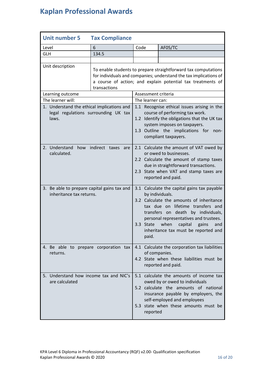<span id="page-15-0"></span>

| <b>Unit number 5</b><br><b>Tax Compliance</b>                                               |                                                                                                                                                                                                                    |                     |          |                                                                                                                                                                                                                                                                                                            |
|---------------------------------------------------------------------------------------------|--------------------------------------------------------------------------------------------------------------------------------------------------------------------------------------------------------------------|---------------------|----------|------------------------------------------------------------------------------------------------------------------------------------------------------------------------------------------------------------------------------------------------------------------------------------------------------------|
| Level                                                                                       | 6                                                                                                                                                                                                                  | Code                |          | AF05/TC                                                                                                                                                                                                                                                                                                    |
| <b>GLH</b>                                                                                  | 134.5                                                                                                                                                                                                              |                     |          |                                                                                                                                                                                                                                                                                                            |
|                                                                                             |                                                                                                                                                                                                                    |                     |          |                                                                                                                                                                                                                                                                                                            |
| Unit description                                                                            | To enable students to prepare straightforward tax computations<br>for individuals and companies; understand the tax implications of<br>a course of action; and explain potential tax treatments of<br>transactions |                     |          |                                                                                                                                                                                                                                                                                                            |
| Learning outcome                                                                            |                                                                                                                                                                                                                    | Assessment criteria |          |                                                                                                                                                                                                                                                                                                            |
| The learner will:                                                                           |                                                                                                                                                                                                                    | The learner can:    |          |                                                                                                                                                                                                                                                                                                            |
| 1. Understand the ethical implications and<br>legal regulations surrounding UK tax<br>laws. |                                                                                                                                                                                                                    |                     |          | 1.1 Recognise ethical issues arising in the<br>course of performing tax work.<br>1.2 Identify the obligations that the UK tax<br>system imposes on taxpayers.<br>1.3 Outline the implications for<br>non-<br>compliant taxpayers.                                                                          |
| 2. Understand<br>calculated.                                                                | how indirect taxes are                                                                                                                                                                                             |                     |          | 2.1 Calculate the amount of VAT owed by<br>or owed to businesses.<br>2.2 Calculate the amount of stamp taxes<br>due in straightforward transactions.<br>2.3 State when VAT and stamp taxes are<br>reported and paid.                                                                                       |
| 3. Be able to prepare capital gains tax and<br>inheritance tax returns.                     |                                                                                                                                                                                                                    | 3.3 State           | paid.    | 3.1 Calculate the capital gains tax payable<br>by individuals.<br>3.2 Calculate the amounts of inheritance<br>tax due on lifetime transfers and<br>transfers on death by individuals,<br>personal representatives and trustees.<br>when<br>capital<br>gains<br>and<br>inheritance tax must be reported and |
| 4. Be able to prepare corporation tax<br>returns.                                           |                                                                                                                                                                                                                    |                     |          | 4.1 Calculate the corporation tax liabilities<br>of companies.<br>4.2 State when these liabilities must be<br>reported and paid.                                                                                                                                                                           |
| 5. Understand how income tax and NIC's<br>are calculated                                    |                                                                                                                                                                                                                    |                     | reported | 5.1 calculate the amounts of income tax<br>owed by or owed to individuals<br>5.2 calculate the amounts of national<br>insurance payable by employers, the<br>self-employed and employees<br>5.3 state when these amounts must be                                                                           |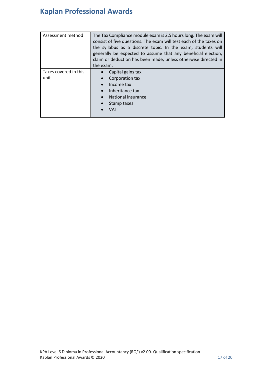| Assessment method             | The Tax Compliance module exam is 2.5 hours long. The exam will<br>consist of five questions. The exam will test each of the taxes on<br>the syllabus as a discrete topic. In the exam, students will<br>generally be expected to assume that any beneficial election,<br>claim or deduction has been made, unless otherwise directed in<br>the exam. |
|-------------------------------|-------------------------------------------------------------------------------------------------------------------------------------------------------------------------------------------------------------------------------------------------------------------------------------------------------------------------------------------------------|
| Taxes covered in this<br>unit | Capital gains tax<br>Corporation tax<br>Income tax<br>Inheritance tax<br>National insurance<br>Stamp taxes<br>VAT                                                                                                                                                                                                                                     |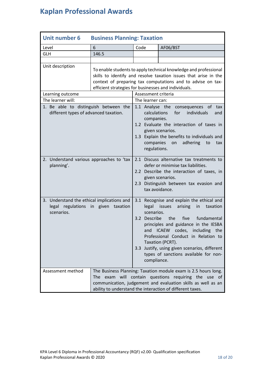<span id="page-17-0"></span>

| <b>Unit number 6</b><br><b>Business Planning: Taxation</b>                                      |                                                                                                                                                                                                                                                             |                                                                                                                                                                                                                                                                                                                                                                                                                     |          |
|-------------------------------------------------------------------------------------------------|-------------------------------------------------------------------------------------------------------------------------------------------------------------------------------------------------------------------------------------------------------------|---------------------------------------------------------------------------------------------------------------------------------------------------------------------------------------------------------------------------------------------------------------------------------------------------------------------------------------------------------------------------------------------------------------------|----------|
| Level                                                                                           | 6                                                                                                                                                                                                                                                           | Code                                                                                                                                                                                                                                                                                                                                                                                                                | AF06/BST |
| <b>GLH</b>                                                                                      | 146.5                                                                                                                                                                                                                                                       |                                                                                                                                                                                                                                                                                                                                                                                                                     |          |
|                                                                                                 |                                                                                                                                                                                                                                                             |                                                                                                                                                                                                                                                                                                                                                                                                                     |          |
| Unit description                                                                                | To enable students to apply technical knowledge and professional<br>skills to identify and resolve taxation issues that arise in the<br>context of preparing tax computations and to advise on tax-<br>efficient strategies for businesses and individuals. |                                                                                                                                                                                                                                                                                                                                                                                                                     |          |
| Learning outcome                                                                                |                                                                                                                                                                                                                                                             | Assessment criteria                                                                                                                                                                                                                                                                                                                                                                                                 |          |
| The learner will:                                                                               |                                                                                                                                                                                                                                                             | The learner can:                                                                                                                                                                                                                                                                                                                                                                                                    |          |
| 1. Be able to distinguish between the<br>different types of advanced taxation.                  |                                                                                                                                                                                                                                                             | 1.1 Analyse the consequences of tax<br>calculations<br>for<br>individuals<br>and<br>companies.<br>1.2 Evaluate the interaction of taxes in<br>given scenarios.<br>1.3 Explain the benefits to individuals and<br>companies<br>adhering<br>on<br>to<br>tax<br>regulations.                                                                                                                                           |          |
| 2. Understand various approaches to 'tax<br>planning'.                                          |                                                                                                                                                                                                                                                             | 2.1 Discuss alternative tax treatments to<br>defer or minimise tax liabilities.<br>2.2 Describe the interaction of taxes, in<br>given scenarios.<br>2.3 Distinguish between tax evasion and<br>tax avoidance.                                                                                                                                                                                                       |          |
| 3. Understand the ethical implications and<br>legal regulations in given taxation<br>scenarios. |                                                                                                                                                                                                                                                             | 3.1 Recognise and explain the ethical and<br>legal<br>arising<br>issues<br>in<br>taxation<br>scenarios.<br>3.2 Describe<br>the<br>five<br>fundamental<br>principles and guidance in the IESBA<br><b>ICAEW</b><br>codes,<br>including the<br>and<br>Professional Conduct in Relation to<br>Taxation (PCRT).<br>3.3 Justify, using given scenarios, different<br>types of sanctions available for non-<br>compliance. |          |
| Assessment method                                                                               | The Business Planning: Taxation module exam is 2.5 hours long.<br>The exam will<br>contain questions requiring the use of<br>communication, judgement and evaluation skills as well as an<br>ability to understand the interaction of different taxes.      |                                                                                                                                                                                                                                                                                                                                                                                                                     |          |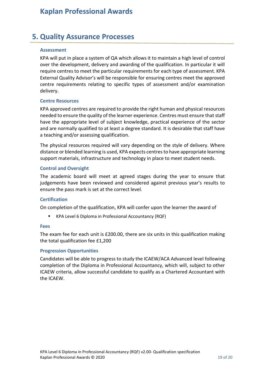## <span id="page-18-0"></span>**5. Quality Assurance Processes**

#### <span id="page-18-1"></span>**Assessment**

KPA will put in place a system of QA which allows it to maintain a high level of control over the development, delivery and awarding of the qualification. In particular it will require centres to meet the particular requirements for each type of assessment. KPA External Quality Advisor's will be responsible for ensuring centres meet the approved centre requirements relating to specific types of assessment and/or examination delivery.

#### <span id="page-18-2"></span>**Centre Resources**

KPA approved centres are required to provide the right human and physical resources needed to ensure the quality of the learner experience. Centres must ensure that staff have the appropriate level of subject knowledge, practical experience of the sector and are normally qualified to at least a degree standard. It is desirable that staff have a teaching and/or assessing qualification.

The physical resources required will vary depending on the style of delivery. Where distance or blended learning is used, KPA expects centres to have appropriate learning support materials, infrastructure and technology in place to meet student needs.

#### <span id="page-18-3"></span>**Control and Oversight**

The academic board will meet at agreed stages during the year to ensure that judgements have been reviewed and considered against previous year's results to ensure the pass mark is set at the correct level.

#### <span id="page-18-4"></span>**Certification**

On completion of the qualification, KPA will confer upon the learner the award of

KPA Level 6 Diploma in Professional Accountancy (RQF)

#### <span id="page-18-5"></span>**Fees**

The exam fee for each unit is £200.00, there are six units in this qualification making the total qualification fee £1,200

#### <span id="page-18-6"></span>**Progression Opportunities**

Candidates will be able to progress to study the ICAEW/ACA Advanced level following completion of the Diploma in Professional Accountancy, which will, subject to other ICAEW criteria, allow successful candidate to qualify as a Chartered Accountant with the ICAEW.